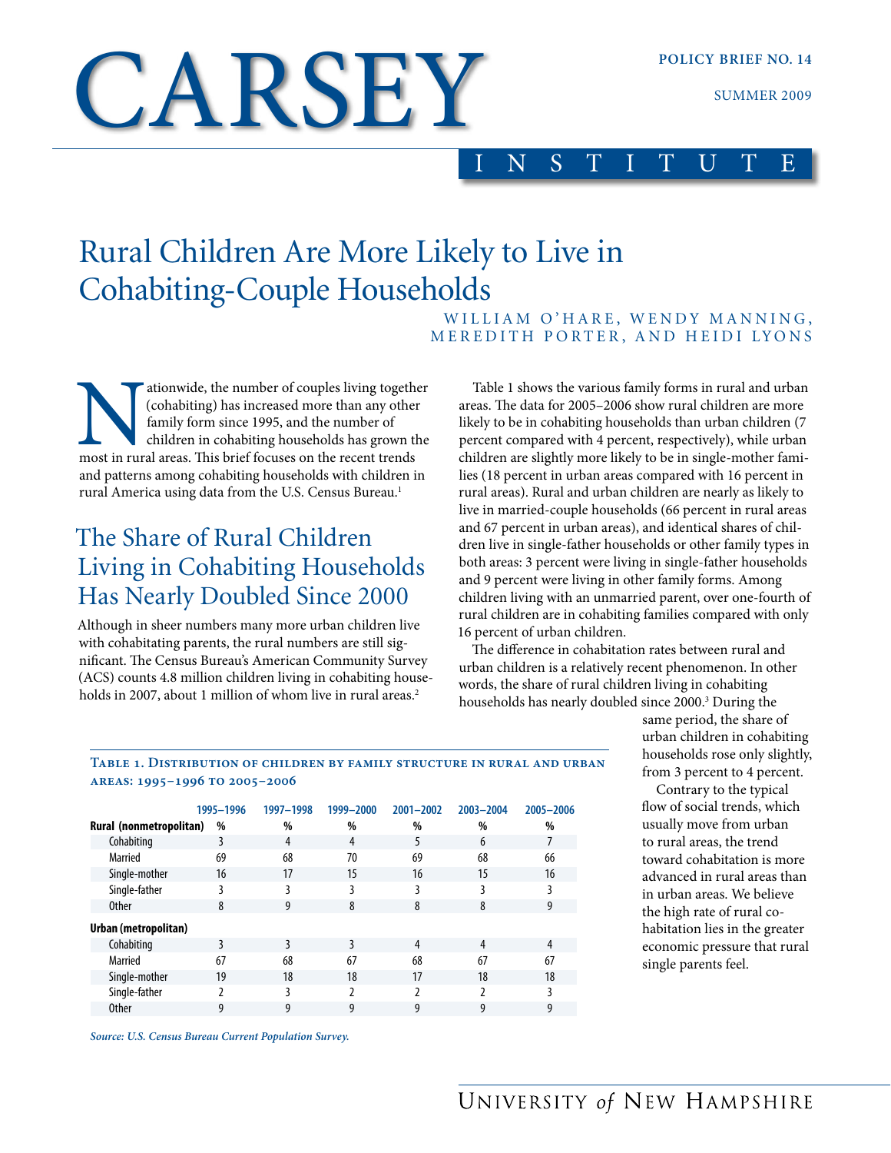# CARSEY

### INSTITUTE

## Rural Children Are More Likely to Live in Cohabiting-Couple Households

WILLIAM O'HARE, WENDY MANNING, MEREDITH PORTER, AND HEIDI LYONS

ationwide, the number of couples living together (cohabiting) has increased more than any other family form since 1995, and the number of children in cohabiting households has grown the most in rural areas. This brief focu (cohabiting) has increased more than any other family form since 1995, and the number of children in cohabiting households has grown the and patterns among cohabiting households with children in rural America using data from the U.S. Census Bureau.<sup>1</sup>

## The Share of Rural Children Living in Cohabiting Households Has Nearly Doubled Since 2000

Although in sheer numbers many more urban children live with cohabitating parents, the rural numbers are still significant. The Census Bureau's American Community Survey (ACS) counts 4.8 million children living in cohabiting households in 2007, about 1 million of whom live in rural areas.<sup>2</sup>

Table 1 shows the various family forms in rural and urban areas. The data for 2005–2006 show rural children are more likely to be in cohabiting households than urban children (7 percent compared with 4 percent, respectively), while urban children are slightly more likely to be in single-mother families (18 percent in urban areas compared with 16 percent in rural areas). Rural and urban children are nearly as likely to live in married-couple households (66 percent in rural areas and 67 percent in urban areas), and identical shares of children live in single-father households or other family types in both areas: 3 percent were living in single-father households and 9 percent were living in other family forms. Among children living with an unmarried parent, over one-fourth of rural children are in cohabiting families compared with only 16 percent of urban children.

The difference in cohabitation rates between rural and urban children is a relatively recent phenomenon. In other words, the share of rural children living in cohabiting households has nearly doubled since 2000.3 During the

#### **Table 1. Distribution of children by family structure in rural and urban areas: 1995–1996 to 2005–2006**

|                         | 1995-1996 | 1997-1998 | 1999-2000 | 2001-2002     | 2003-2004 | 2005-2006 |
|-------------------------|-----------|-----------|-----------|---------------|-----------|-----------|
| Rural (nonmetropolitan) | %         | %         | %         | %             | %         | %         |
| Cohabiting              | 3         | 4         | 4         | 5             | 6         |           |
| Married                 | 69        | 68        | 70        | 69            | 68        | 66        |
| Single-mother           | 16        | 17        | 15        | 16            | 15        | 16        |
| Single-father           | 3         | 3         | 3         | 3             | ξ         | 3         |
| <b>Other</b>            | 8         | 9         | 8         | 8             | 8         | 9         |
| Urban (metropolitan)    |           |           |           |               |           |           |
| Cohabiting              | ξ         | 3         | 3         | 4             | 4         | 4         |
| Married                 | 67        | 68        | 67        | 68            | 67        | 67        |
| Single-mother           | 19        | 18        | 18        | 17            | 18        | 18        |
| Single-father           |           | 3         | 7         | $\mathfrak z$ | 7         | ξ         |
| <b>Other</b>            | 9         | 9         | 9         | 9             | 9         | 9         |

*Source: U.S. Census Bureau Current Population Survey.*

same period, the share of urban children in cohabiting households rose only slightly, from 3 percent to 4 percent.

Contrary to the typical flow of social trends, which usually move from urban to rural areas, the trend toward cohabitation is more advanced in rural areas than in urban areas. We believe the high rate of rural cohabitation lies in the greater economic pressure that rural single parents feel.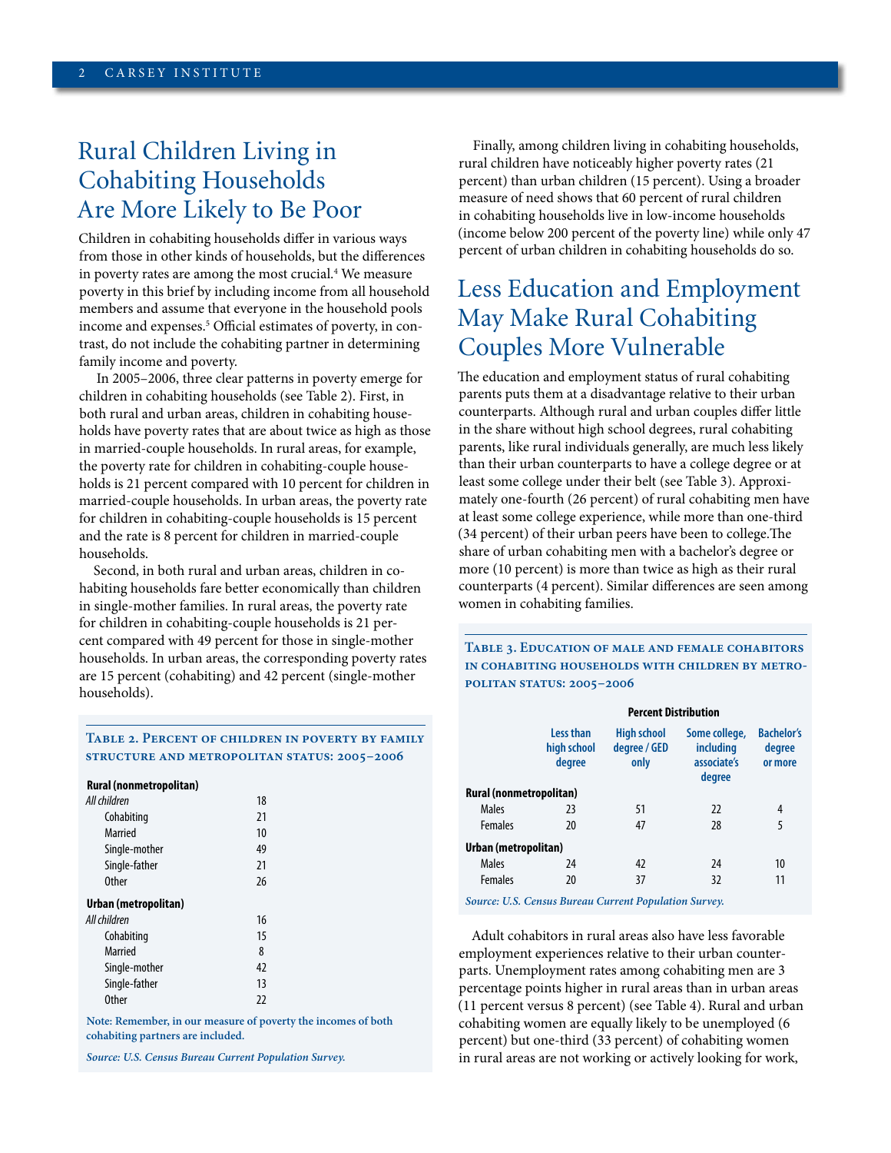## Rural Children Living in Cohabiting Households Are More Likely to Be Poor

Children in cohabiting households differ in various ways from those in other kinds of households, but the differences in poverty rates are among the most crucial.<sup>4</sup> We measure poverty in this brief by including income from all household members and assume that everyone in the household pools income and expenses.5 Official estimates of poverty, in contrast, do not include the cohabiting partner in determining family income and poverty.

In 2005–2006, three clear patterns in poverty emerge for children in cohabiting households (see Table 2). First, in both rural and urban areas, children in cohabiting households have poverty rates that are about twice as high as those in married-couple households. In rural areas, for example, the poverty rate for children in cohabiting-couple households is 21 percent compared with 10 percent for children in married-couple households. In urban areas, the poverty rate for children in cohabiting-couple households is 15 percent and the rate is 8 percent for children in married-couple households.

Second, in both rural and urban areas, children in cohabiting households fare better economically than children in single-mother families. In rural areas, the poverty rate for children in cohabiting-couple households is 21 percent compared with 49 percent for those in single-mother households. In urban areas, the corresponding poverty rates are 15 percent (cohabiting) and 42 percent (single-mother households).

Finally, among children living in cohabiting households, rural children have noticeably higher poverty rates (21 percent) than urban children (15 percent). Using a broader measure of need shows that 60 percent of rural children in cohabiting households live in low-income households (income below 200 percent of the poverty line) while only 47 percent of urban children in cohabiting households do so.

## Less Education and Employment May Make Rural Cohabiting Couples More Vulnerable

The education and employment status of rural cohabiting parents puts them at a disadvantage relative to their urban counterparts. Although rural and urban couples differ little in the share without high school degrees, rural cohabiting parents, like rural individuals generally, are much less likely than their urban counterparts to have a college degree or at least some college under their belt (see Table 3). Approximately one-fourth (26 percent) of rural cohabiting men have at least some college experience, while more than one-third (34 percent) of their urban peers have been to college.The share of urban cohabiting men with a bachelor's degree or more (10 percent) is more than twice as high as their rural counterparts (4 percent). Similar differences are seen among women in cohabiting families.

**Table 3. Education of male and female cohabitors in cohabiting households with children by metropolitan status: 2005–2006**

|                         | <b>Percent Distribution</b>        |                                            |                                                            |                                        |  |
|-------------------------|------------------------------------|--------------------------------------------|------------------------------------------------------------|----------------------------------------|--|
|                         | Less than<br>high school<br>degree | <b>High school</b><br>degree / GED<br>only | Some college,<br><i>including</i><br>associate's<br>degree | <b>Bachelor's</b><br>degree<br>or more |  |
| Rural (nonmetropolitan) |                                    |                                            |                                                            |                                        |  |
| <b>Males</b>            | 23                                 | 51                                         | 22                                                         | 4                                      |  |
| <b>Females</b>          | 20                                 | 47                                         | 28                                                         | 5                                      |  |
| Urban (metropolitan)    |                                    |                                            |                                                            |                                        |  |
| <b>Males</b>            | 24                                 | 42                                         | 24                                                         | 10                                     |  |
| <b>Females</b>          | 20                                 | 37                                         | 32                                                         | 11                                     |  |
|                         |                                    |                                            |                                                            |                                        |  |

*Source: U.S. Census Bureau Current Population Survey.*

Adult cohabitors in rural areas also have less favorable employment experiences relative to their urban counterparts. Unemployment rates among cohabiting men are 3 percentage points higher in rural areas than in urban areas (11 percent versus 8 percent) (see Table 4). Rural and urban cohabiting women are equally likely to be unemployed (6 percent) but one-third (33 percent) of cohabiting women in rural areas are not working or actively looking for work,

#### **Table 2. Percent of children in poverty by family structure and metropolitan status: 2005–2006**

|  | Rural (nonmetropolitan) |  |
|--|-------------------------|--|
|--|-------------------------|--|

| All children         | 18 |  |
|----------------------|----|--|
| Cohabiting           | 21 |  |
| Married              | 10 |  |
| Single-mother        | 49 |  |
| Single-father        | 21 |  |
| <b>Other</b>         | 26 |  |
| Urban (metropolitan) |    |  |
| All children         | 16 |  |
| Cohabiting           | 15 |  |
| Married              | 8  |  |
| Single-mother        | 42 |  |
| Single-father        | 13 |  |
| <b>Other</b>         | 22 |  |
|                      |    |  |

**Note: Remember, in our measure of poverty the incomes of both cohabiting partners are included.** 

*Source: U.S. Census Bureau Current Population Survey.*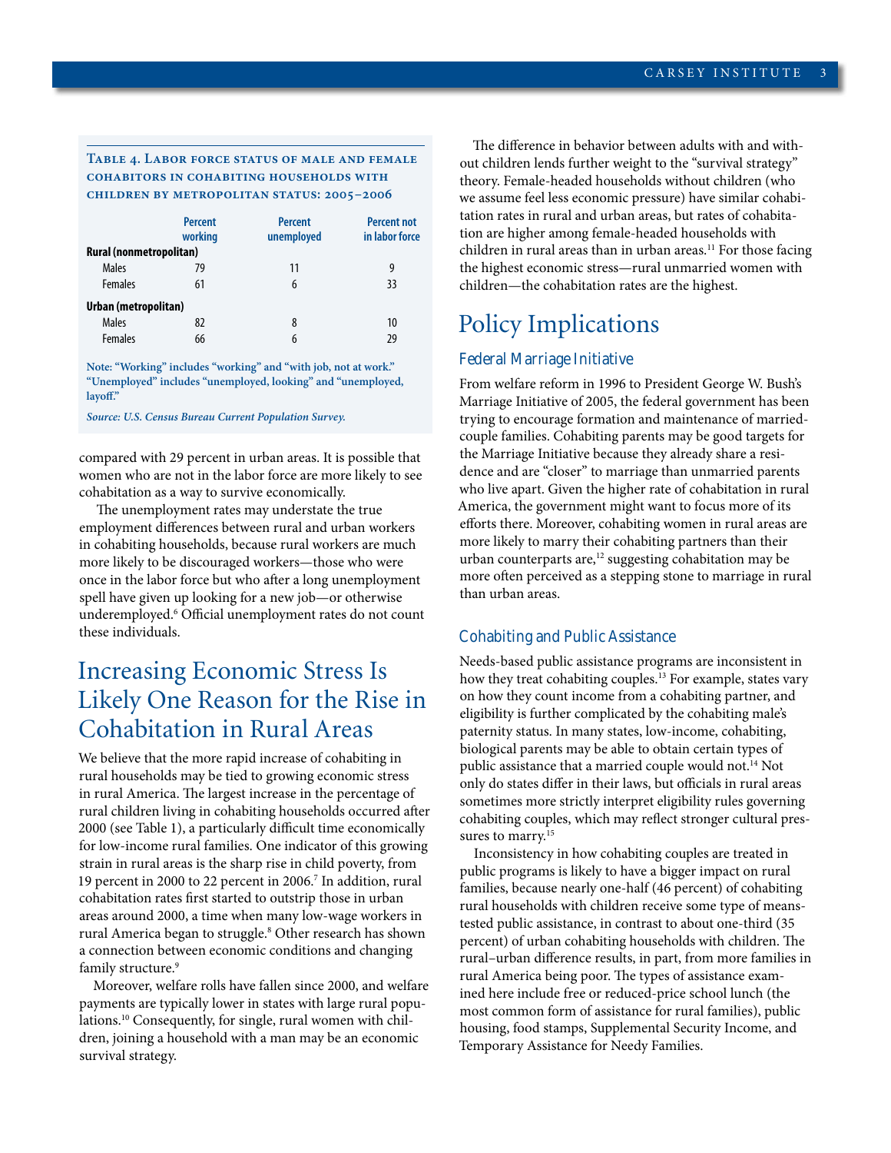#### **Table 4. Labor force status of male and female cohabitors in cohabiting households with children by metropolitan status: 2005–2006**

|                         | <b>Percent</b><br>working | <b>Percent</b><br>unemployed | <b>Percent not</b><br>in labor force |
|-------------------------|---------------------------|------------------------------|--------------------------------------|
| Rural (nonmetropolitan) |                           |                              |                                      |
| Males                   | 79                        | 11                           | 9                                    |
| <b>Females</b>          | 61                        | 6                            | 33                                   |
| Urban (metropolitan)    |                           |                              |                                      |
| Males                   | 82                        | 8                            | 10                                   |
| <b>Females</b>          | 66                        | 6                            | 29                                   |

**Note: "Working" includes "working" and "with job, not at work." "Unemployed" includes "unemployed, looking" and "unemployed, layoff."**

*Source: U.S. Census Bureau Current Population Survey.*

compared with 29 percent in urban areas. It is possible that women who are not in the labor force are more likely to see cohabitation as a way to survive economically.

 The unemployment rates may understate the true employment differences between rural and urban workers in cohabiting households, because rural workers are much more likely to be discouraged workers—those who were once in the labor force but who after a long unemployment spell have given up looking for a new job—or otherwise underemployed.6 Official unemployment rates do not count these individuals.

## Increasing Economic Stress Is Likely One Reason for the Rise in Cohabitation in Rural Areas

We believe that the more rapid increase of cohabiting in rural households may be tied to growing economic stress in rural America. The largest increase in the percentage of rural children living in cohabiting households occurred after 2000 (see Table 1), a particularly difficult time economically for low-income rural families. One indicator of this growing strain in rural areas is the sharp rise in child poverty, from 19 percent in 2000 to 22 percent in 2006.7 In addition, rural cohabitation rates first started to outstrip those in urban areas around 2000, a time when many low-wage workers in rural America began to struggle.<sup>8</sup> Other research has shown a connection between economic conditions and changing family structure.<sup>9</sup>

Moreover, welfare rolls have fallen since 2000, and welfare payments are typically lower in states with large rural populations.10 Consequently, for single, rural women with children, joining a household with a man may be an economic survival strategy.

The difference in behavior between adults with and without children lends further weight to the "survival strategy" theory. Female-headed households without children (who we assume feel less economic pressure) have similar cohabitation rates in rural and urban areas, but rates of cohabitation are higher among female-headed households with children in rural areas than in urban areas.<sup>11</sup> For those facing the highest economic stress—rural unmarried women with children—the cohabitation rates are the highest.

## Policy Implications

#### **Federal Marriage Initiative**

From welfare reform in 1996 to President George W. Bush's Marriage Initiative of 2005, the federal government has been trying to encourage formation and maintenance of marriedcouple families. Cohabiting parents may be good targets for the Marriage Initiative because they already share a residence and are "closer" to marriage than unmarried parents who live apart. Given the higher rate of cohabitation in rural America, the government might want to focus more of its efforts there. Moreover, cohabiting women in rural areas are more likely to marry their cohabiting partners than their urban counterparts are, $12$  suggesting cohabitation may be more often perceived as a stepping stone to marriage in rural than urban areas.

#### **Cohabiting and Public Assistance**

Needs-based public assistance programs are inconsistent in how they treat cohabiting couples.<sup>13</sup> For example, states vary on how they count income from a cohabiting partner, and eligibility is further complicated by the cohabiting male's paternity status. In many states, low-income, cohabiting, biological parents may be able to obtain certain types of public assistance that a married couple would not.<sup>14</sup> Not only do states differ in their laws, but officials in rural areas sometimes more strictly interpret eligibility rules governing cohabiting couples, which may reflect stronger cultural pressures to marry.<sup>15</sup>

Inconsistency in how cohabiting couples are treated in public programs is likely to have a bigger impact on rural families, because nearly one-half (46 percent) of cohabiting rural households with children receive some type of meanstested public assistance, in contrast to about one-third (35 percent) of urban cohabiting households with children. The rural–urban difference results, in part, from more families in rural America being poor. The types of assistance examined here include free or reduced-price school lunch (the most common form of assistance for rural families), public housing, food stamps, Supplemental Security Income, and Temporary Assistance for Needy Families.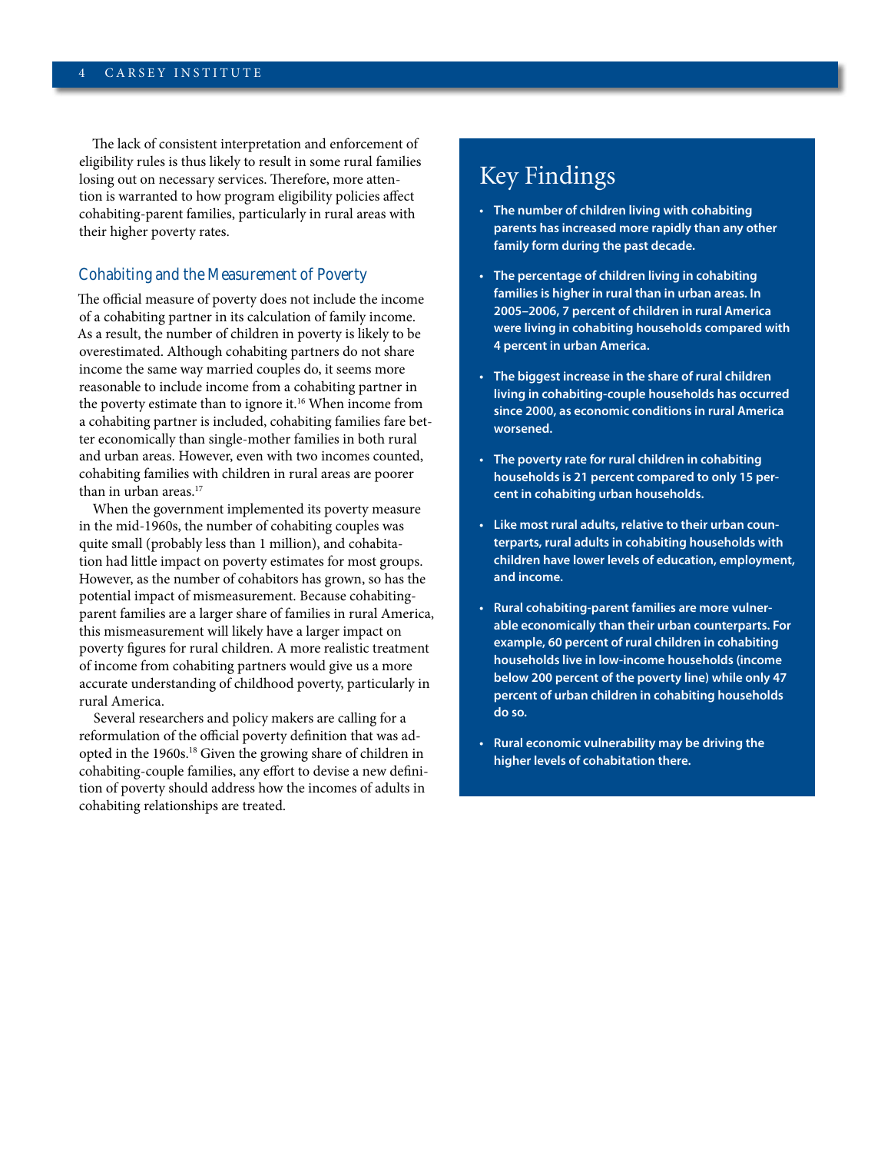The lack of consistent interpretation and enforcement of eligibility rules is thus likely to result in some rural families losing out on necessary services. Therefore, more attention is warranted to how program eligibility policies affect cohabiting-parent families, particularly in rural areas with their higher poverty rates.

#### **Cohabiting and the Measurement of Poverty**

The official measure of poverty does not include the income of a cohabiting partner in its calculation of family income. As a result, the number of children in poverty is likely to be overestimated. Although cohabiting partners do not share income the same way married couples do, it seems more reasonable to include income from a cohabiting partner in the poverty estimate than to ignore it.<sup>16</sup> When income from a cohabiting partner is included, cohabiting families fare better economically than single-mother families in both rural and urban areas. However, even with two incomes counted, cohabiting families with children in rural areas are poorer than in urban areas.<sup>17</sup>

When the government implemented its poverty measure in the mid-1960s, the number of cohabiting couples was quite small (probably less than 1 million), and cohabitation had little impact on poverty estimates for most groups. However, as the number of cohabitors has grown, so has the potential impact of mismeasurement. Because cohabitingparent families are a larger share of families in rural America, this mismeasurement will likely have a larger impact on poverty figures for rural children. A more realistic treatment of income from cohabiting partners would give us a more accurate understanding of childhood poverty, particularly in rural America.

Several researchers and policy makers are calling for a reformulation of the official poverty definition that was adopted in the 1960s.18 Given the growing share of children in cohabiting-couple families, any effort to devise a new definition of poverty should address how the incomes of adults in cohabiting relationships are treated.

## Key Findings

- **• The number of children living with cohabiting parents has increased more rapidly than any other family form during the past decade.**
- **• The percentage of children living in cohabiting families is higher in rural than in urban areas. In 2005–2006, 7 percent of children in rural America were living in cohabiting households compared with 4 percent in urban America.**
- **• The biggest increase in the share of rural children living in cohabiting-couple households has occurred since 2000, as economic conditions in rural America worsened.**
- **• The poverty rate for rural children in cohabiting households is 21 percent compared to only 15 percent in cohabiting urban households.**
- **• Like most rural adults, relative to their urban counterparts, rural adults in cohabiting households with children have lower levels of education, employment, and income.**
- **• Rural cohabiting-parent families are more vulnerable economically than their urban counterparts. For example, 60 percent of rural children in cohabiting households live in low-income households (income below 200 percent of the poverty line) while only 47 percent of urban children in cohabiting households do so.**
- **• Rural economic vulnerability may be driving the higher levels of cohabitation there.**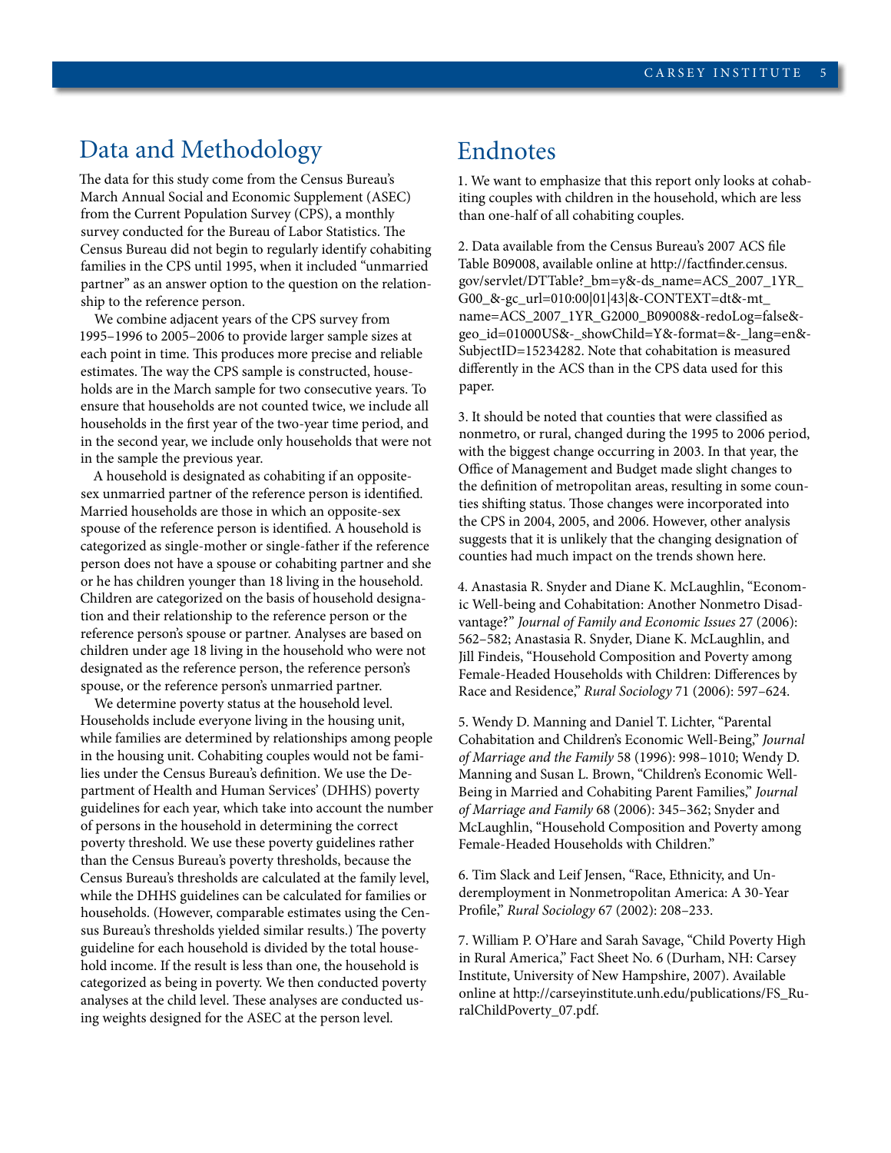## Data and Methodology

The data for this study come from the Census Bureau's March Annual Social and Economic Supplement (ASEC) from the Current Population Survey (CPS), a monthly survey conducted for the Bureau of Labor Statistics. The Census Bureau did not begin to regularly identify cohabiting families in the CPS until 1995, when it included "unmarried partner" as an answer option to the question on the relationship to the reference person.

We combine adjacent years of the CPS survey from 1995–1996 to 2005–2006 to provide larger sample sizes at each point in time. This produces more precise and reliable estimates. The way the CPS sample is constructed, households are in the March sample for two consecutive years. To ensure that households are not counted twice, we include all households in the first year of the two-year time period, and in the second year, we include only households that were not in the sample the previous year.

A household is designated as cohabiting if an oppositesex unmarried partner of the reference person is identified. Married households are those in which an opposite-sex spouse of the reference person is identified. A household is categorized as single-mother or single-father if the reference person does not have a spouse or cohabiting partner and she or he has children younger than 18 living in the household. Children are categorized on the basis of household designation and their relationship to the reference person or the reference person's spouse or partner. Analyses are based on children under age 18 living in the household who were not designated as the reference person, the reference person's spouse, or the reference person's unmarried partner.

We determine poverty status at the household level. Households include everyone living in the housing unit, while families are determined by relationships among people in the housing unit. Cohabiting couples would not be families under the Census Bureau's definition. We use the Department of Health and Human Services' (DHHS) poverty guidelines for each year, which take into account the number of persons in the household in determining the correct poverty threshold. We use these poverty guidelines rather than the Census Bureau's poverty thresholds, because the Census Bureau's thresholds are calculated at the family level, while the DHHS guidelines can be calculated for families or households. (However, comparable estimates using the Census Bureau's thresholds yielded similar results.) The poverty guideline for each household is divided by the total household income. If the result is less than one, the household is categorized as being in poverty. We then conducted poverty analyses at the child level. These analyses are conducted using weights designed for the ASEC at the person level.

#### Endnotes

1. We want to emphasize that this report only looks at cohabiting couples with children in the household, which are less than one-half of all cohabiting couples.

2. Data available from the Census Bureau's 2007 ACS file Table B09008, available online at http://factfinder.census. gov/servlet/DTTable?\_bm=y&-ds\_name=ACS\_2007\_1YR\_ G00\_&-gc\_url=010:00|01|43|&-CONTEXT=dt&-mt\_ name=ACS\_2007\_1YR\_G2000\_B09008&-redoLog=false& geo\_id=01000US&-\_showChild=Y&-format=&-\_lang=en&- SubjectID=15234282. Note that cohabitation is measured differently in the ACS than in the CPS data used for this paper.

3. It should be noted that counties that were classified as nonmetro, or rural, changed during the 1995 to 2006 period, with the biggest change occurring in 2003. In that year, the Office of Management and Budget made slight changes to the definition of metropolitan areas, resulting in some counties shifting status. Those changes were incorporated into the CPS in 2004, 2005, and 2006. However, other analysis suggests that it is unlikely that the changing designation of counties had much impact on the trends shown here.

4. Anastasia R. Snyder and Diane K. McLaughlin, "Economic Well-being and Cohabitation: Another Nonmetro Disadvantage?" *Journal of Family and Economic Issues* 27 (2006): 562–582; Anastasia R. Snyder, Diane K. McLaughlin, and Jill Findeis, "Household Composition and Poverty among Female-Headed Households with Children: Differences by Race and Residence," *Rural Sociology* 71 (2006): 597–624.

5. Wendy D. Manning and Daniel T. Lichter, "Parental Cohabitation and Children's Economic Well-Being," *Journal of Marriage and the Family* 58 (1996): 998–1010; Wendy D. Manning and Susan L. Brown, "Children's Economic Well-Being in Married and Cohabiting Parent Families," *Journal of Marriage and Family* 68 (2006): 345–362; Snyder and McLaughlin, "Household Composition and Poverty among Female-Headed Households with Children."

6. Tim Slack and Leif Jensen, "Race, Ethnicity, and Underemployment in Nonmetropolitan America: A 30-Year Profile," *Rural Sociology* 67 (2002): 208–233.

7. William P. O'Hare and Sarah Savage, "Child Poverty High in Rural America," Fact Sheet No. 6 (Durham, NH: Carsey Institute, University of New Hampshire, 2007). Available online at http://carseyinstitute.unh.edu/publications/FS\_RuralChildPoverty\_07.pdf.